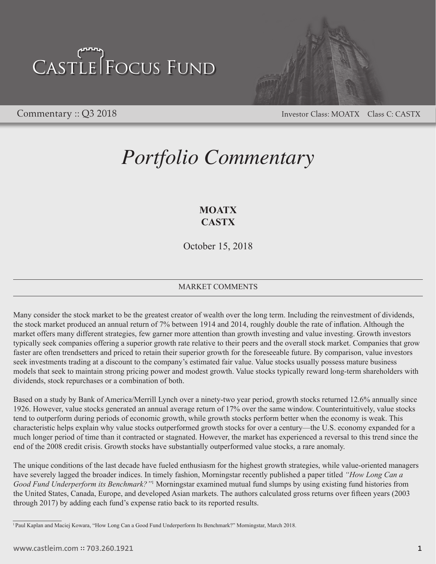# CASTLE FOCUS FUND



Commentary :: Q3 2018 Investor Class: MOATX Class C: CASTX

### *Portfolio Commentary*

### **MOATX CASTX**

October 15, 2018

### MARKET COMMENTS

Many consider the stock market to be the greatest creator of wealth over the long term. Including the reinvestment of dividends, the stock market produced an annual return of 7% between 1914 and 2014, roughly double the rate of inflation. Although the market offers many different strategies, few garner more attention than growth investing and value investing. Growth investors typically seek companies offering a superior growth rate relative to their peers and the overall stock market. Companies that grow faster are often trendsetters and priced to retain their superior growth for the foreseeable future. By comparison, value investors seek investments trading at a discount to the company's estimated fair value. Value stocks usually possess mature business models that seek to maintain strong pricing power and modest growth. Value stocks typically reward long-term shareholders with dividends, stock repurchases or a combination of both.

Based on a study by Bank of America/Merrill Lynch over a ninety-two year period, growth stocks returned 12.6% annually since 1926. However, value stocks generated an annual average return of 17% over the same window. Counterintuitively, value stocks tend to outperform during periods of economic growth, while growth stocks perform better when the economy is weak. This characteristic helps explain why value stocks outperformed growth stocks for over a century—the U.S. economy expanded for a much longer period of time than it contracted or stagnated. However, the market has experienced a reversal to this trend since the end of the 2008 credit crisis. Growth stocks have substantially outperformed value stocks, a rare anomaly.

The unique conditions of the last decade have fueled enthusiasm for the highest growth strategies, while value-oriented managers have severely lagged the broader indices. In timely fashion, Morningstar recently published a paper titled *"How Long Can a*  Good Fund Underperform its Benchmark?"<sup>1</sup> Morningstar examined mutual fund slumps by using existing fund histories from the United States, Canada, Europe, and developed Asian markets. The authors calculated gross returns over fifteen years (2003 through 2017) by adding each fund's expense ratio back to its reported results.

<sup>1</sup> Paul Kaplan and Maciej Kowara, "How Long Can a Good Fund Underperform Its Benchmark?" Morningstar, March 2018.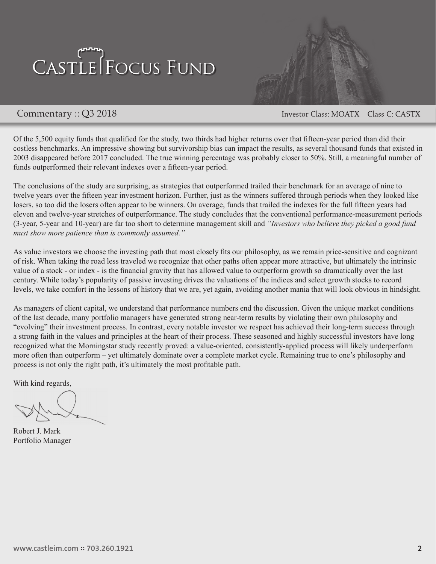# CASTLE FOCUS FUND



Commentary :: Q3 2018 Investor Class: MOATX Class C: CASTX

Of the 5,500 equity funds that qualified for the study, two thirds had higher returns over that fifteen-year period than did their costless benchmarks. An impressive showing but survivorship bias can impact the results, as several thousand funds that existed in 2003 disappeared before 2017 concluded. The true winning percentage was probably closer to 50%. Still, a meaningful number of funds outperformed their relevant indexes over a fifteen-year period.

The conclusions of the study are surprising, as strategies that outperformed trailed their benchmark for an average of nine to twelve years over the fifteen year investment horizon. Further, just as the winners suffered through periods when they looked like losers, so too did the losers often appear to be winners. On average, funds that trailed the indexes for the full fifteen years had eleven and twelve-year stretches of outperformance. The study concludes that the conventional performance-measurement periods (3-year, 5-year and 10-year) are far too short to determine management skill and *"Investors who believe they picked a good fund must show more patience than is commonly assumed."*

As value investors we choose the investing path that most closely fits our philosophy, as we remain price-sensitive and cognizant of risk. When taking the road less traveled we recognize that other paths often appear more attractive, but ultimately the intrinsic value of a stock - or index - is the financial gravity that has allowed value to outperform growth so dramatically over the last century. While today's popularity of passive investing drives the valuations of the indices and select growth stocks to record levels, we take comfort in the lessons of history that we are, yet again, avoiding another mania that will look obvious in hindsight.

As managers of client capital, we understand that performance numbers end the discussion. Given the unique market conditions of the last decade, many portfolio managers have generated strong near-term results by violating their own philosophy and "evolving" their investment process. In contrast, every notable investor we respect has achieved their long-term success through a strong faith in the values and principles at the heart of their process. These seasoned and highly successful investors have long recognized what the Morningstar study recently proved: a value-oriented, consistently-applied process will likely underperform more often than outperform – yet ultimately dominate over a complete market cycle. Remaining true to one's philosophy and process is not only the right path, it's ultimately the most profitable path.

With kind regards,

Robert J. Mark Portfolio Manager